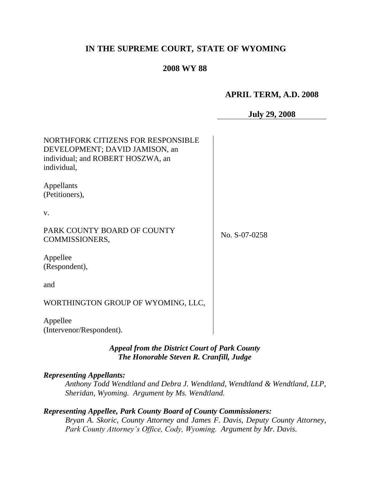## **IN THE SUPREME COURT, STATE OF WYOMING**

## **2008 WY 88**

## **APRIL TERM, A.D. 2008**

| <b>July 29, 2008</b> |
|----------------------|
|----------------------|

| NORTHFORK CITIZENS FOR RESPONSIBLE<br>DEVELOPMENT; DAVID JAMISON, an<br>individual; and ROBERT HOSZWA, an<br>individual, |               |
|--------------------------------------------------------------------------------------------------------------------------|---------------|
| Appellants<br>(Petitioners),                                                                                             |               |
| V.                                                                                                                       |               |
| PARK COUNTY BOARD OF COUNTY<br>COMMISSIONERS,                                                                            | No. S-07-0258 |
| Appellee<br>(Respondent),                                                                                                |               |
| and                                                                                                                      |               |
| WORTHINGTON GROUP OF WYOMING, LLC,                                                                                       |               |
| Appellee<br>(Intervenor/Respondent).                                                                                     |               |

## *Appeal from the District Court of Park County The Honorable Steven R. Cranfill, Judge*

#### *Representing Appellants:*

*Anthony Todd Wendtland and Debra J. Wendtland, Wendtland & Wendtland, LLP, Sheridan, Wyoming. Argument by Ms. Wendtland.*

# *Representing Appellee, Park County Board of County Commissioners:*

*Bryan A. Skoric, County Attorney and James F. Davis, Deputy County Attorney, Park County Attorney's Office, Cody, Wyoming. Argument by Mr. Davis.*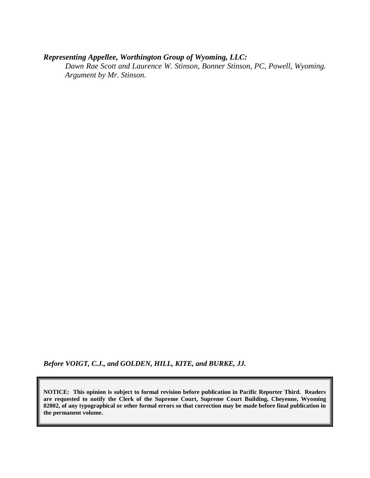## *Representing Appellee, Worthington Group of Wyoming, LLC:*

*Dawn Rae Scott and Laurence W. Stinson, Bonner Stinson, PC, Powell, Wyoming. Argument by Mr. Stinson.*

*Before VOIGT, C.J., and GOLDEN, HILL, KITE, and BURKE, JJ.*

**NOTICE: This opinion is subject to formal revision before publication in Pacific Reporter Third. Readers are requested to notify the Clerk of the Supreme Court, Supreme Court Building, Cheyenne, Wyoming 82002, of any typographical or other formal errors so that correction may be made before final publication in the permanent volume.**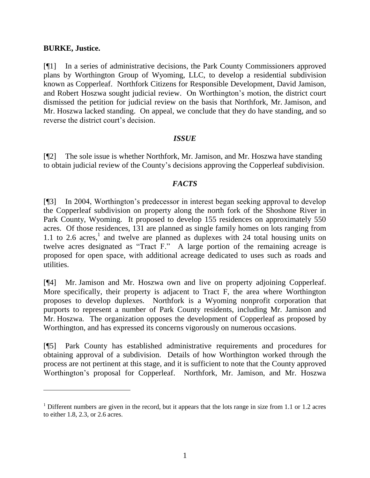### **BURKE, Justice.**

[¶1] In a series of administrative decisions, the Park County Commissioners approved plans by Worthington Group of Wyoming, LLC, to develop a residential subdivision known as Copperleaf. Northfork Citizens for Responsible Development, David Jamison, and Robert Hoszwa sought judicial review. On Worthington's motion, the district court dismissed the petition for judicial review on the basis that Northfork, Mr. Jamison, and Mr. Hoszwa lacked standing. On appeal, we conclude that they do have standing, and so reverse the district court's decision.

### *ISSUE*

[¶2] The sole issue is whether Northfork, Mr. Jamison, and Mr. Hoszwa have standing to obtain judicial review of the County's decisions approving the Copperleaf subdivision.

### *FACTS*

[¶3] In 2004, Worthington's predecessor in interest began seeking approval to develop the Copperleaf subdivision on property along the north fork of the Shoshone River in Park County, Wyoming. It proposed to develop 155 residences on approximately 550 acres. Of those residences, 131 are planned as single family homes on lots ranging from  $1.1$  to  $2.6$  acres,<sup>1</sup> and twelve are planned as duplexes with  $24$  total housing units on twelve acres designated as "Tract F." A large portion of the remaining acreage is proposed for open space, with additional acreage dedicated to uses such as roads and utilities.

[¶4] Mr. Jamison and Mr. Hoszwa own and live on property adjoining Copperleaf. More specifically, their property is adjacent to Tract F, the area where Worthington proposes to develop duplexes. Northfork is a Wyoming nonprofit corporation that purports to represent a number of Park County residents, including Mr. Jamison and Mr. Hoszwa. The organization opposes the development of Copperleaf as proposed by Worthington, and has expressed its concerns vigorously on numerous occasions.

[¶5] Park County has established administrative requirements and procedures for obtaining approval of a subdivision. Details of how Worthington worked through the process are not pertinent at this stage, and it is sufficient to note that the County approved Worthington's proposal for Copperleaf. Northfork, Mr. Jamison, and Mr. Hoszwa

 $1$  Different numbers are given in the record, but it appears that the lots range in size from 1.1 or 1.2 acres to either 1.8, 2.3, or 2.6 acres.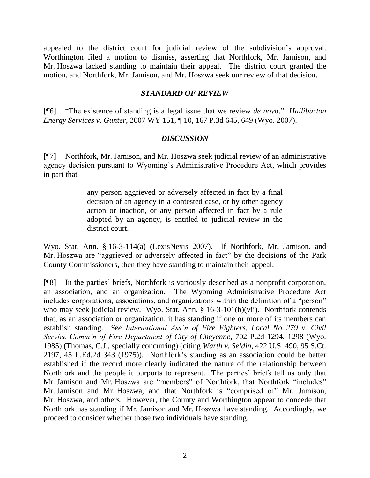appealed to the district court for judicial review of the subdivision's approval. Worthington filed a motion to dismiss, asserting that Northfork, Mr. Jamison, and Mr. Hoszwa lacked standing to maintain their appeal. The district court granted the motion, and Northfork, Mr. Jamison, and Mr. Hoszwa seek our review of that decision.

## *STANDARD OF REVIEW*

[¶6] "The existence of standing is a legal issue that we review *de novo*." *Halliburton Energy Services v. Gunter*, 2007 WY 151, ¶ 10, 167 P.3d 645, 649 (Wyo. 2007).

## *DISCUSSION*

[¶7] Northfork, Mr. Jamison, and Mr. Hoszwa seek judicial review of an administrative agency decision pursuant to Wyoming's Administrative Procedure Act, which provides in part that

> any person aggrieved or adversely affected in fact by a final decision of an agency in a contested case, or by other agency action or inaction, or any person affected in fact by a rule adopted by an agency, is entitled to judicial review in the district court.

Wyo. Stat. Ann. § 16-3-114(a) (LexisNexis 2007). If Northfork, Mr. Jamison, and Mr. Hoszwa are "aggrieved or adversely affected in fact" by the decisions of the Park County Commissioners, then they have standing to maintain their appeal.

[¶8] In the parties' briefs, Northfork is variously described as a nonprofit corporation, an association, and an organization. The Wyoming Administrative Procedure Act includes corporations, associations, and organizations within the definition of a "person" who may seek judicial review. Wyo. Stat. Ann. § 16-3-101(b)(vii). Northfork contends that, as an association or organization, it has standing if one or more of its members can establish standing. *See International Ass'n of Fire Fighters, Local No. 279 v. Civil Service Comm'n of Fire Department of City of Cheyenne*, 702 P.2d 1294, 1298 (Wyo. 1985) (Thomas, C.J., specially concurring) (citing *Warth v. Seldin*, 422 U.S. 490, 95 S.Ct. 2197, 45 L.Ed.2d 343 (1975)). Northfork's standing as an association could be better established if the record more clearly indicated the nature of the relationship between Northfork and the people it purports to represent. The parties' briefs tell us only that Mr. Jamison and Mr. Hoszwa are "members" of Northfork, that Northfork "includes" Mr. Jamison and Mr. Hoszwa, and that Northfork is "comprised of" Mr. Jamison, Mr. Hoszwa, and others. However, the County and Worthington appear to concede that Northfork has standing if Mr. Jamison and Mr. Hoszwa have standing. Accordingly, we proceed to consider whether those two individuals have standing.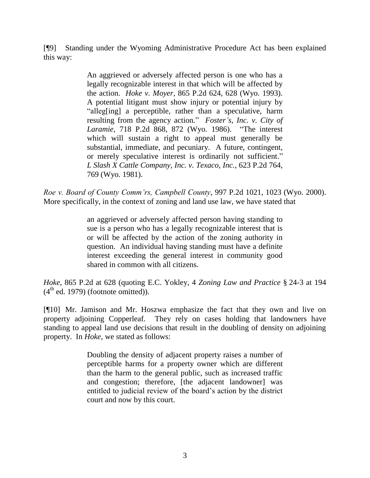[¶9] Standing under the Wyoming Administrative Procedure Act has been explained this way:

> An aggrieved or adversely affected person is one who has a legally recognizable interest in that which will be affected by the action. *Hoke v. Moyer*, 865 P.2d 624, 628 (Wyo. 1993). A potential litigant must show injury or potential injury by "alleg[ing] a perceptible, rather than a speculative, harm resulting from the agency action." *Foster's, Inc. v. City of Laramie*, 718 P.2d 868, 872 (Wyo. 1986). "The interest which will sustain a right to appeal must generally be substantial, immediate, and pecuniary. A future, contingent, or merely speculative interest is ordinarily not sufficient." *L Slash X Cattle Company, Inc. v. Texaco, Inc.,* 623 P.2d 764, 769 (Wyo. 1981).

*Roe v. Board of County Comm'rs, Campbell County*, 997 P.2d 1021, 1023 (Wyo. 2000). More specifically, in the context of zoning and land use law, we have stated that

> an aggrieved or adversely affected person having standing to sue is a person who has a legally recognizable interest that is or will be affected by the action of the zoning authority in question. An individual having standing must have a definite interest exceeding the general interest in community good shared in common with all citizens.

*Hoke*, 865 P.2d at 628 (quoting E.C. Yokley, 4 *Zoning Law and Practice* § 24-3 at 194  $(4<sup>th</sup>$  ed. 1979) (footnote omitted)).

[¶10] Mr. Jamison and Mr. Hoszwa emphasize the fact that they own and live on property adjoining Copperleaf. They rely on cases holding that landowners have standing to appeal land use decisions that result in the doubling of density on adjoining property. In *Hoke*, we stated as follows:

> Doubling the density of adjacent property raises a number of perceptible harms for a property owner which are different than the harm to the general public, such as increased traffic and congestion; therefore, [the adjacent landowner] was entitled to judicial review of the board's action by the district court and now by this court.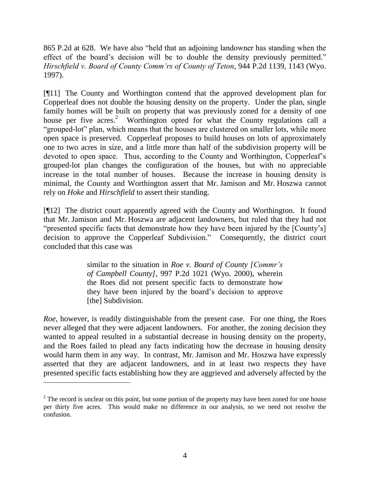865 P.2d at 628. We have also "held that an adjoining landowner has standing when the effect of the board's decision will be to double the density previously permitted." *Hirschfield v. Board of County Comm'rs of County of Teton*, 944 P.2d 1139, 1143 (Wyo. 1997).

[¶11] The County and Worthington contend that the approved development plan for Copperleaf does not double the housing density on the property. Under the plan, single family homes will be built on property that was previously zoned for a density of one house per five acres.<sup>2</sup> Worthington opted for what the County regulations call a "grouped-lot" plan, which means that the houses are clustered on smaller lots, while more open space is preserved. Copperleaf proposes to build houses on lots of approximately one to two acres in size, and a little more than half of the subdivision property will be devoted to open space. Thus, according to the County and Worthington, Copperleaf's grouped-lot plan changes the configuration of the houses, but with no appreciable increase in the total number of houses. Because the increase in housing density is minimal, the County and Worthington assert that Mr. Jamison and Mr. Hoszwa cannot rely on *Hoke* and *Hirschfield* to assert their standing.

[¶12] The district court apparently agreed with the County and Worthington. It found that Mr. Jamison and Mr. Hoszwa are adjacent landowners, but ruled that they had not "presented specific facts that demonstrate how they have been injured by the [County's] decision to approve the Copperleaf Subdivision." Consequently, the district court concluded that this case was

> similar to the situation in *Roe v. Board of County [Commr's of Campbell County]*, 997 P.2d 1021 (Wyo. 2000), wherein the Roes did not present specific facts to demonstrate how they have been injured by the board's decision to approve [the] Subdivision.

*Roe*, however, is readily distinguishable from the present case. For one thing, the Roes never alleged that they were adjacent landowners. For another, the zoning decision they wanted to appeal resulted in a substantial decrease in housing density on the property, and the Roes failed to plead any facts indicating how the decrease in housing density would harm them in any way. In contrast, Mr. Jamison and Mr. Hoszwa have expressly asserted that they are adjacent landowners, and in at least two respects they have presented specific facts establishing how they are aggrieved and adversely affected by the

 $\overline{a}$ 

 $2$  The record is unclear on this point, but some portion of the property may have been zoned for one house per thirty five acres. This would make no difference in our analysis, so we need not resolve the confusion.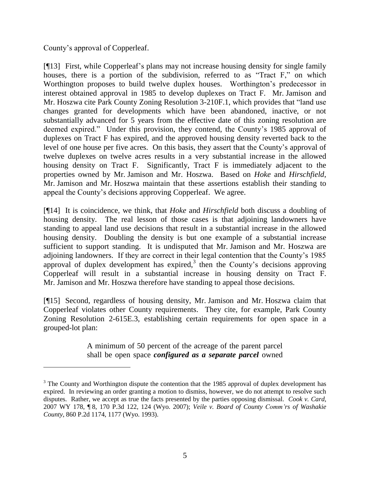County's approval of Copperleaf.

[¶13] First, while Copperleaf's plans may not increase housing density for single family houses, there is a portion of the subdivision, referred to as "Tract F," on which Worthington proposes to build twelve duplex houses. Worthington's predecessor in interest obtained approval in 1985 to develop duplexes on Tract F. Mr. Jamison and Mr. Hoszwa cite Park County Zoning Resolution 3-210F.1, which provides that "land use changes granted for developments which have been abandoned, inactive, or not substantially advanced for 5 years from the effective date of this zoning resolution are deemed expired." Under this provision, they contend, the County's 1985 approval of duplexes on Tract F has expired, and the approved housing density reverted back to the level of one house per five acres. On this basis, they assert that the County's approval of twelve duplexes on twelve acres results in a very substantial increase in the allowed housing density on Tract F. Significantly, Tract F is immediately adjacent to the properties owned by Mr. Jamison and Mr. Hoszwa. Based on *Hoke* and *Hirschfield*, Mr. Jamison and Mr. Hoszwa maintain that these assertions establish their standing to appeal the County's decisions approving Copperleaf. We agree.

[¶14] It is coincidence, we think, that *Hoke* and *Hirschfield* both discuss a doubling of housing density. The real lesson of those cases is that adjoining landowners have standing to appeal land use decisions that result in a substantial increase in the allowed housing density. Doubling the density is but one example of a substantial increase sufficient to support standing. It is undisputed that Mr. Jamison and Mr. Hoszwa are adjoining landowners. If they are correct in their legal contention that the County's 1985 approval of duplex development has expired, $3$  then the County's decisions approving Copperleaf will result in a substantial increase in housing density on Tract F. Mr. Jamison and Mr. Hoszwa therefore have standing to appeal those decisions.

[¶15] Second, regardless of housing density, Mr. Jamison and Mr. Hoszwa claim that Copperleaf violates other County requirements. They cite, for example, Park County Zoning Resolution 2-615E.3, establishing certain requirements for open space in a grouped-lot plan:

> A minimum of 50 percent of the acreage of the parent parcel shall be open space *configured as a separate parcel* owned

 $3$  The County and Worthington dispute the contention that the 1985 approval of duplex development has expired. In reviewing an order granting a motion to dismiss, however, we do not attempt to resolve such disputes. Rather, we accept as true the facts presented by the parties opposing dismissal. *Cook v. Card*, 2007 WY 178, ¶ 8, 170 P.3d 122, 124 (Wyo. 2007); *Veile v. Board of County Comm'rs of Washakie County*, 860 P.2d 1174, 1177 (Wyo. 1993).